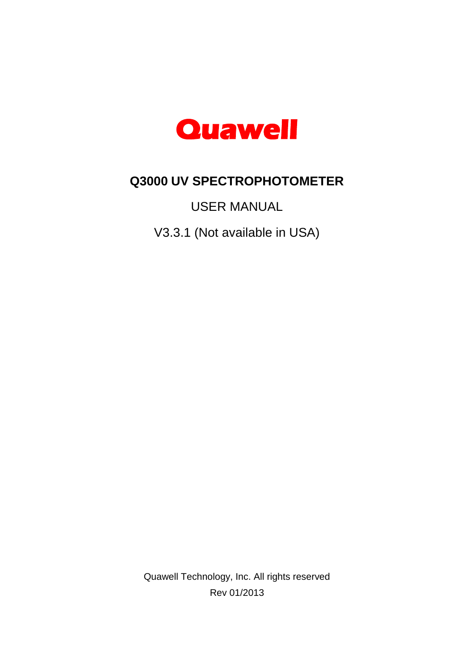

# **Q3000 UV SPECTROPHOTOMETER**

USER MANUAL

V3.3.1 (Not available in USA)

Quawell Technology, Inc. All rights reserved Rev 01/2013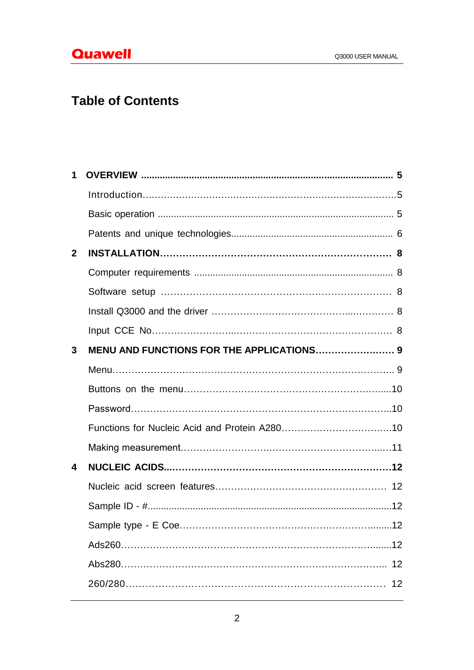# **Table of Contents**

| 1            |    |
|--------------|----|
|              |    |
|              |    |
|              |    |
| $\mathbf{2}$ |    |
|              |    |
|              |    |
|              |    |
|              |    |
| 3            |    |
|              |    |
|              |    |
|              |    |
|              |    |
|              |    |
| 4            |    |
|              |    |
|              |    |
|              |    |
|              |    |
|              |    |
|              | 12 |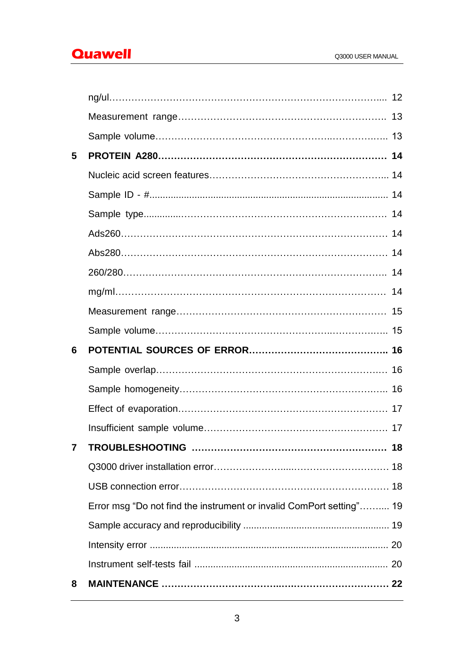# **Quawell Quawell Q3000 USER MANUAL**

| 5 |                                                                      |    |  |
|---|----------------------------------------------------------------------|----|--|
|   |                                                                      |    |  |
|   |                                                                      |    |  |
|   |                                                                      |    |  |
|   |                                                                      |    |  |
|   |                                                                      |    |  |
|   |                                                                      |    |  |
|   |                                                                      |    |  |
|   |                                                                      |    |  |
|   |                                                                      |    |  |
| 6 |                                                                      |    |  |
|   |                                                                      |    |  |
|   |                                                                      |    |  |
|   |                                                                      |    |  |
|   |                                                                      |    |  |
|   |                                                                      | 18 |  |
|   |                                                                      |    |  |
|   |                                                                      |    |  |
|   | Error msg "Do not find the instrument or invalid ComPort setting" 19 |    |  |
|   |                                                                      |    |  |
|   |                                                                      |    |  |
|   |                                                                      |    |  |
| 8 |                                                                      |    |  |
|   |                                                                      |    |  |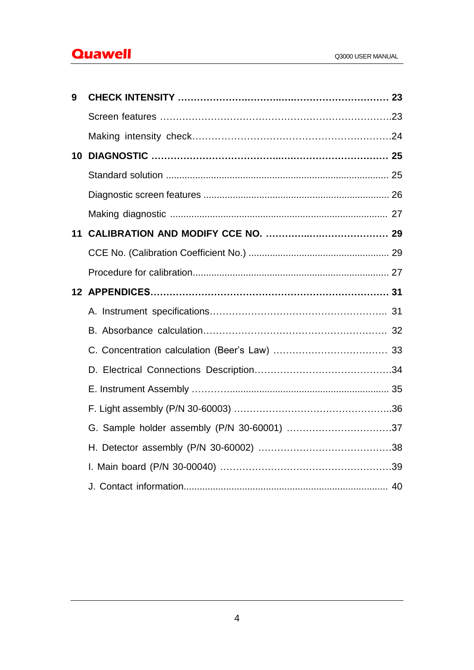# **Quawell Quawell Q3000 USER MANUAL**

| 9  |  |
|----|--|
|    |  |
|    |  |
| 10 |  |
|    |  |
|    |  |
|    |  |
| 11 |  |
|    |  |
|    |  |
|    |  |
|    |  |
|    |  |
|    |  |
|    |  |
|    |  |
|    |  |
|    |  |
|    |  |
|    |  |
|    |  |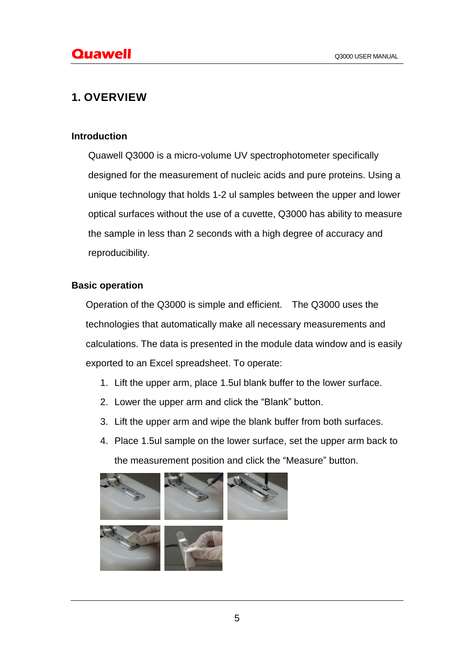# **1. OVERVIEW**

#### **Introduction**

Quawell Q3000 is a micro-volume UV spectrophotometer specifically designed for the measurement of nucleic acids and pure proteins. Using a unique technology that holds 1-2 ul samples between the upper and lower optical surfaces without the use of a cuvette, Q3000 has ability to measure the sample in less than 2 seconds with a high degree of accuracy and reproducibility.

#### **Basic operation**

Operation of the Q3000 is simple and efficient. The Q3000 uses the technologies that automatically make all necessary measurements and calculations. The data is presented in the module data window and is easily exported to an Excel spreadsheet. To operate:

- 1. Lift the upper arm, place 1.5ul blank buffer to the lower surface.
- 2. Lower the upper arm and click the "Blank" button.
- 3. Lift the upper arm and wipe the blank buffer from both surfaces.
- 4. Place 1.5ul sample on the lower surface, set the upper arm back to the measurement position and click the "Measure" button.

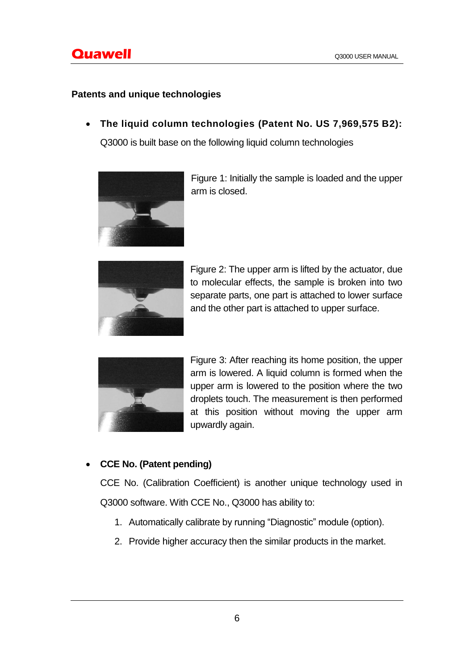## **Patents and unique technologies**

**The liquid column technologies (Patent No. US 7,969,575 B2):**

Q3000 is built base on the following liquid column technologies



Figure 1: Initially the sample is loaded and the upper arm is closed.



Figure 2: The upper arm is lifted by the actuator, due to molecular effects, the sample is broken into two separate parts, one part is attached to lower surface and the other part is attached to upper surface.



Figure 3: After reaching its home position, the upper arm is lowered. A liquid column is formed when the upper arm is lowered to the position where the two droplets touch. The measurement is then performed at this position without moving the upper arm upwardly again.

# **CCE No. (Patent pending)**

CCE No. (Calibration Coefficient) is another unique technology used in Q3000 software. With CCE No., Q3000 has ability to:

- 1. Automatically calibrate by running "Diagnostic" module (option).
- 2. Provide higher accuracy then the similar products in the market.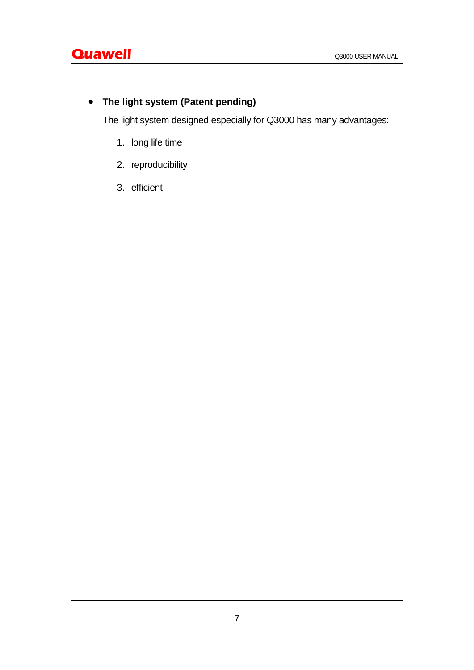# **The light system (Patent pending)**

The light system designed especially for Q3000 has many advantages:

- 1. long life time
- 2. reproducibility
- 3. efficient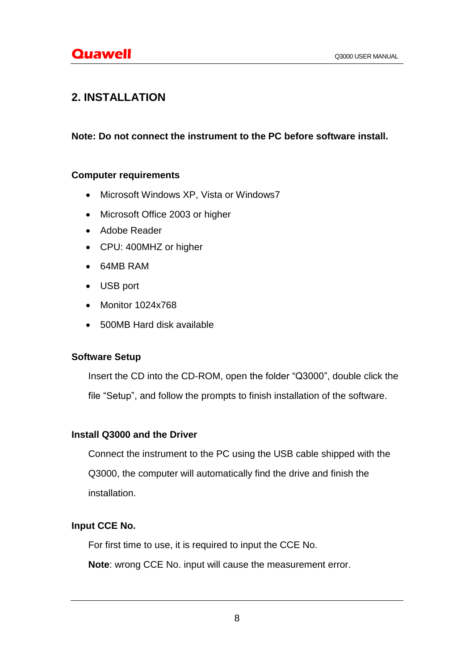# **2. INSTALLATION**

## **Note: Do not connect the instrument to the PC before software install.**

## **Computer requirements**

- Microsoft Windows XP, Vista or Windows7
- Microsoft Office 2003 or higher
- Adobe Reader
- CPU: 400MHZ or higher
- 64MB RAM
- USB port
- Monitor 1024x768
- 500MB Hard disk available

## **Software Setup**

Insert the CD into the CD-ROM, open the folder "Q3000", double click the file "Setup", and follow the prompts to finish installation of the software.

## **Install Q3000 and the Driver**

Connect the instrument to the PC using the USB cable shipped with the

Q3000, the computer will automatically find the drive and finish the installation.

# **Input CCE No.**

For first time to use, it is required to input the CCE No.

**Note**: wrong CCE No. input will cause the measurement error.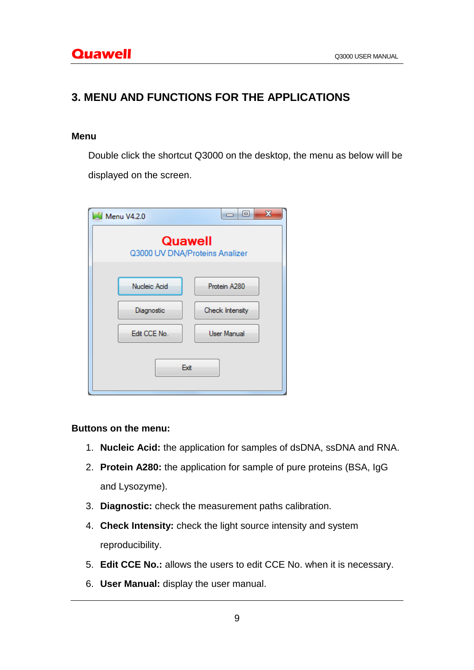# **3. MENU AND FUNCTIONS FOR THE APPLICATIONS**

#### **Menu**

Double click the shortcut Q3000 on the desktop, the menu as below will be displayed on the screen.

| Menu V4.2.0                               | x<br>回          |
|-------------------------------------------|-----------------|
| Quawell<br>Q3000 UV DNA/Proteins Analizer |                 |
| Nucleic Acid                              | Protein A280    |
| Diagnostic                                | Check Intensity |
| Edit CCE No.                              | User Manual     |
| Exit                                      |                 |

## **Buttons on the menu:**

- 1. **Nucleic Acid:** the application for samples of dsDNA, ssDNA and RNA.
- 2. **Protein A280:** the application for sample of pure proteins (BSA, IgG and Lysozyme).
- 3. **Diagnostic:** check the measurement paths calibration.
- 4. **Check Intensity:** check the light source intensity and system reproducibility.
- 5. **Edit CCE No.:** allows the users to edit CCE No. when it is necessary.
- 6. **User Manual:** display the user manual.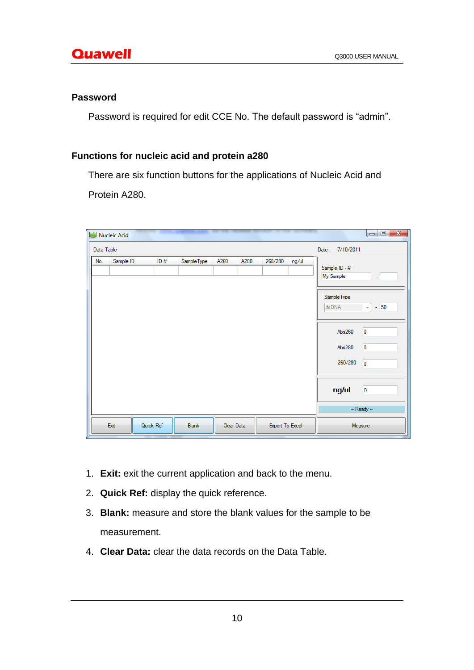#### **Password**

Password is required for edit CCE No. The default password is "admin".

# **Functions for nucleic acid and protein a280**

There are six function buttons for the applications of Nucleic Acid and Protein A280.

| Z          | <b>Nucleic Acid</b> |           |              |              |                 |       |                                                                                            | $\Box$<br>$-\mathbf{x}$                                                                  |
|------------|---------------------|-----------|--------------|--------------|-----------------|-------|--------------------------------------------------------------------------------------------|------------------------------------------------------------------------------------------|
| Data Table |                     |           |              |              |                 |       | Date: 7/10/2011                                                                            |                                                                                          |
| No.        | Sample ID           | ID#       | Sample Type  | A260<br>A280 | 260/280         | ng/ul | Sample ID - #<br>My Sample<br>Sample Type<br>dsDNA<br>Abs260<br>Abs280<br>260/280<br>ng/ul | $\omega$<br>$-50$<br>$\overline{\nabla}$<br>$\mathbf 0$<br>0<br>$\mathbf{0}$<br>$\bf{0}$ |
|            |                     |           |              |              |                 |       |                                                                                            | $-$ Ready $-$                                                                            |
|            | Exit                | Quick Ref | <b>Blank</b> | Clear Data   | Export To Excel |       |                                                                                            | Measure                                                                                  |

- 1. **Exit:** exit the current application and back to the menu.
- 2. **Quick Ref:** display the quick reference.
- 3. **Blank:** measure and store the blank values for the sample to be measurement.
- 4. **Clear Data:** clear the data records on the Data Table.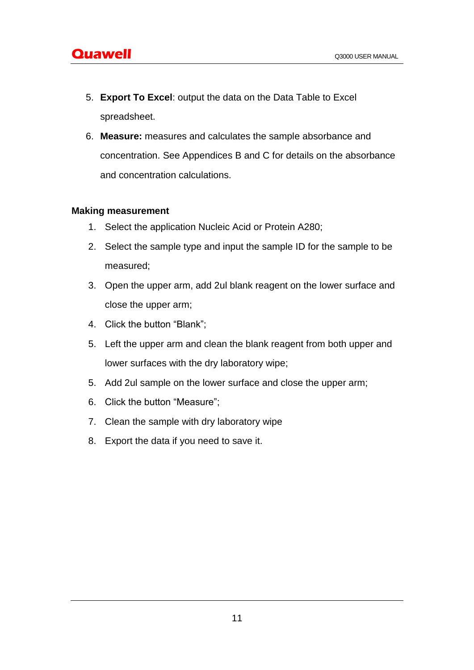- 5. **Export To Excel**: output the data on the Data Table to Excel spreadsheet.
- 6. **Measure:** measures and calculates the sample absorbance and concentration. See Appendices B and C for details on the absorbance and concentration calculations.

#### **Making measurement**

- 1. Select the application Nucleic Acid or Protein A280;
- 2. Select the sample type and input the sample ID for the sample to be measured;
- 3. Open the upper arm, add 2ul blank reagent on the lower surface and close the upper arm;
- 4. Click the button "Blank";
- 5. Left the upper arm and clean the blank reagent from both upper and lower surfaces with the dry laboratory wipe;
- 5. Add 2ul sample on the lower surface and close the upper arm;
- 6. Click the button "Measure";
- 7. Clean the sample with dry laboratory wipe
- 8. Export the data if you need to save it.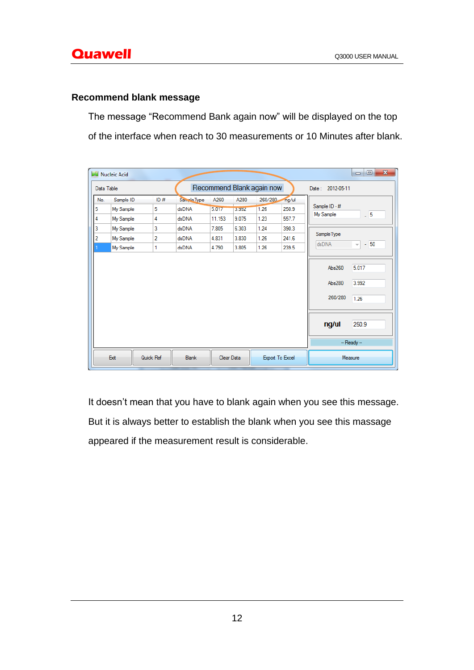## **Recommend blank message**

The message "Recommend Bank again now" will be displayed on the top of the interface when reach to 30 measurements or 10 Minutes after blank.

| M              | <b>Nucleic Acid</b> |           |              |        |            |                           |                 |                            | $\mathbf{x}$<br>$\Box$<br>$\qquad \qquad \Box$ |
|----------------|---------------------|-----------|--------------|--------|------------|---------------------------|-----------------|----------------------------|------------------------------------------------|
| Data Table     |                     |           |              |        |            | Recommend Blank again now |                 | Date: 2012-05-11           |                                                |
| No.            | Sample ID           | ID#       | Sample Type  | A260   | A280       | 260/280                   | ng/ul           |                            |                                                |
| 5              | My Sample           | 5         | dsDNA        | 5.017  | 3.992      | 1.26                      | 250.9           | Sample ID - #<br>My Sample | $-5$                                           |
| 4              | My Sample           | 4         | dsDNA        | 11.153 | 9.075      | 1.23                      | 557.7           |                            |                                                |
| 3              | My Sample           | 3         | dsDNA        | 7.805  | 6.303      | 1.24                      | 390.3           |                            |                                                |
| $\overline{2}$ | My Sample           | 2         | dsDNA        | 4.831  | 3.830      | 1.26                      | 241.6           | Sample Type                |                                                |
|                | My Sample           | 1         | dsDNA        | 4.790  | 3.805      | 1.26                      | 239.5           | dsDNA                      | $-150$<br>$\overline{\psi}$                    |
|                |                     |           |              |        |            |                           |                 | Abs280<br>260/280          | 3.992<br>1.26                                  |
|                |                     |           |              |        |            |                           |                 | ng/ul                      | 250.9                                          |
|                |                     |           |              |        |            |                           |                 |                            | -- Ready --                                    |
|                | Exit                | Quick Ref | <b>Blank</b> |        | Clear Data |                           | Export To Excel |                            | Measure                                        |

It doesn't mean that you have to blank again when you see this message. But it is always better to establish the blank when you see this massage appeared if the measurement result is considerable.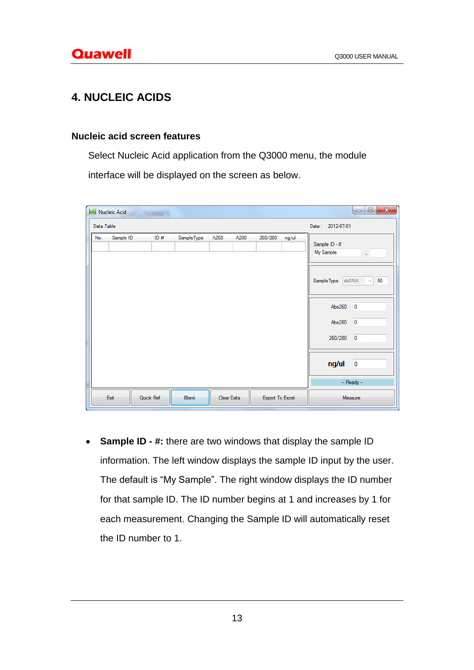# **4. NUCLEIC ACIDS**

#### **Nucleic acid screen features**

Select Nucleic Acid application from the Q3000 menu, the module

interface will be displayed on the screen as below.

|            | Nucleic Acid |           |             |                  |                 |       | $\mathbf{x}$<br>$\begin{array}{c c c c c} \hline \multicolumn{3}{c }{\textbf{0}} & \multicolumn{3}{c }{\textbf{0}} \end{array}$                                                                                       |
|------------|--------------|-----------|-------------|------------------|-----------------|-------|-----------------------------------------------------------------------------------------------------------------------------------------------------------------------------------------------------------------------|
| Data Table |              |           |             | Date: 2012-07-01 |                 |       |                                                                                                                                                                                                                       |
| No.        | Sample ID    | ID#       | Sample Type | A260<br>A280     | 260/280         | ng/ul | Sample ID - #<br>My Sample<br>ä,<br>dsDNA<br>SampleType<br>50<br>v<br>$\overline{\mathbf{0}}$<br>Abs260<br>$\overline{0}$<br>Abs280<br>$\overline{0}$<br>260/280<br>ng/ul<br>$\overline{\mathbf{0}}$<br>$-$ Ready $-$ |
|            | Exit         | Quick Ref | Blank       | Clear Data       | Export To Excel |       | Measure                                                                                                                                                                                                               |

 **Sample ID - #:** there are two windows that display the sample ID information. The left window displays the sample ID input by the user. The default is "My Sample". The right window displays the ID number for that sample ID. The ID number begins at 1 and increases by 1 for each measurement. Changing the Sample ID will automatically reset the ID number to 1.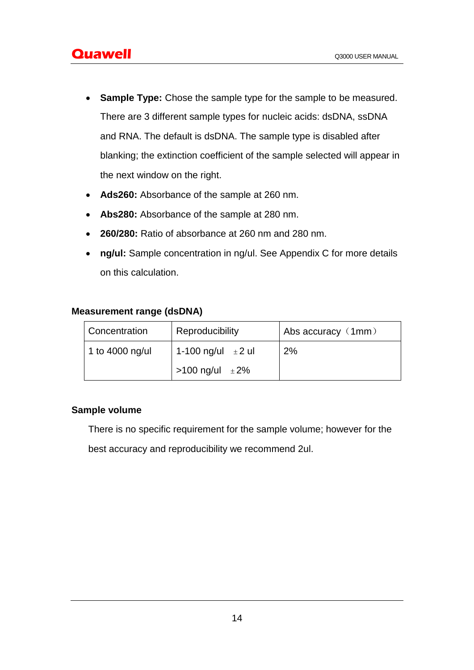- **Sample Type:** Chose the sample type for the sample to be measured. There are 3 different sample types for nucleic acids: dsDNA, ssDNA and RNA. The default is dsDNA. The sample type is disabled after blanking; the extinction coefficient of the sample selected will appear in the next window on the right.
- **Ads260:** Absorbance of the sample at 260 nm.
- **Abs280:** Absorbance of the sample at 280 nm.
- **260/280:** Ratio of absorbance at 260 nm and 280 nm.
- **ng/ul:** Sample concentration in ng/ul. See Appendix C for more details on this calculation.

#### **Measurement range (dsDNA)**

| Concentration   | Reproducibility        | Abs accuracy (1mm) |
|-----------------|------------------------|--------------------|
| 1 to 4000 ng/ul | 1-100 ng/ul $\pm 2$ ul | 2%                 |
|                 | >100 ng/ul $\pm 2\%$   |                    |

## **Sample volume**

There is no specific requirement for the sample volume; however for the

best accuracy and reproducibility we recommend 2ul.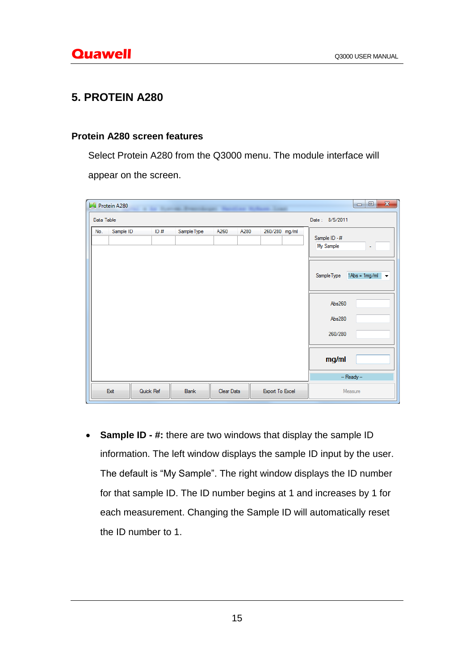# **5. PROTEIN A280**

#### **Protein A280 screen features**

Select Protein A280 from the Q3000 menu. The module interface will

appear on the screen.

| И          | Protein A280 |           |             |              |                 | $\mathbf{x}$<br>$\Box$<br>$\qquad \qquad \Box$                                                                                                      |
|------------|--------------|-----------|-------------|--------------|-----------------|-----------------------------------------------------------------------------------------------------------------------------------------------------|
| Data Table |              |           |             |              |                 | Date: 8/5/2011                                                                                                                                      |
| No.        | Sample ID    | ID#       | Sample Type | A280<br>A260 | 260/280 mg/ml   | Sample ID - #<br>My Sample<br>٠<br>$1Abs = 1mg/ml$<br>SampleType<br>$\overline{\phantom{a}}$<br>Abs260<br>Abs280<br>260/280<br>mg/ml<br>-- Ready -- |
|            | Exit         | Quick Ref | Blank       | Clear Data   | Export To Excel | Measure                                                                                                                                             |

 **Sample ID - #:** there are two windows that display the sample ID information. The left window displays the sample ID input by the user. The default is "My Sample". The right window displays the ID number for that sample ID. The ID number begins at 1 and increases by 1 for each measurement. Changing the Sample ID will automatically reset the ID number to 1.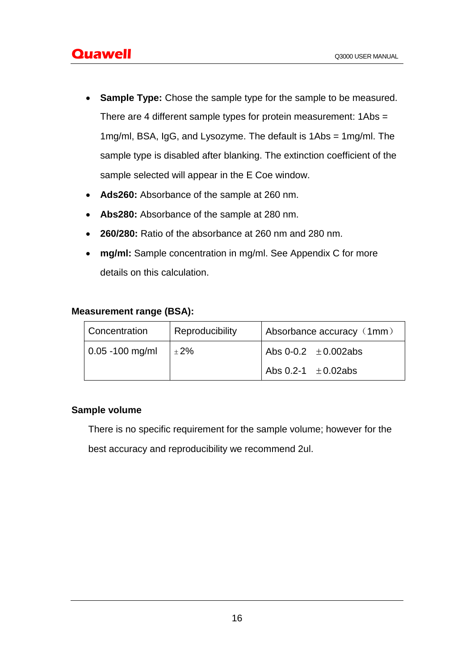- **Sample Type:** Chose the sample type for the sample to be measured. There are 4 different sample types for protein measurement: 1Abs = 1mg/ml, BSA, IgG, and Lysozyme. The default is 1Abs = 1mg/ml. The sample type is disabled after blanking. The extinction coefficient of the sample selected will appear in the E Coe window.
- **Ads260:** Absorbance of the sample at 260 nm.
- **Abs280:** Absorbance of the sample at 280 nm.
- **260/280:** Ratio of the absorbance at 260 nm and 280 nm.
- **mg/ml:** Sample concentration in mg/ml. See Appendix C for more details on this calculation.

#### **Measurement range (BSA):**

| Concentration                                  | Reproducibility | Absorbance accuracy (1mm) |
|------------------------------------------------|-----------------|---------------------------|
| $\vert 0.05 - 100$ mg/ml $\vert \pm 2\% \vert$ |                 | Abs 0-0.2 $\pm$ 0.002abs  |
|                                                |                 | Abs 0.2-1 $\pm$ 0.02abs   |

## **Sample volume**

There is no specific requirement for the sample volume; however for the

best accuracy and reproducibility we recommend 2ul.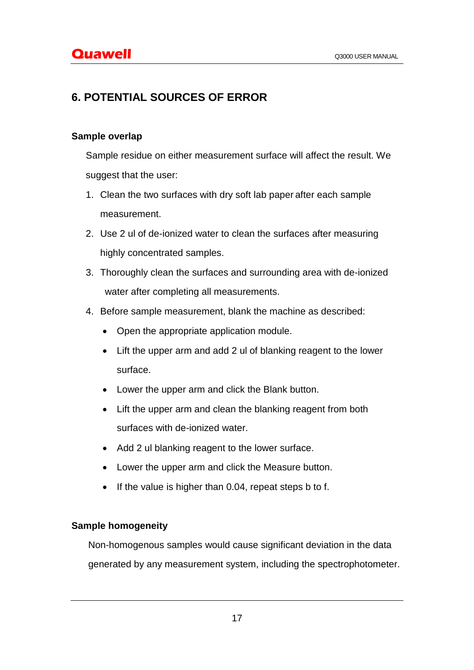# **6. POTENTIAL SOURCES OF ERROR**

## **Sample overlap**

Sample residue on either measurement surface will affect the result. We suggest that the user:

- 1. Clean the two surfaces with dry soft lab paper after each sample measurement.
- 2. Use 2 ul of de-ionized water to clean the surfaces after measuring highly concentrated samples.
- 3. Thoroughly clean the surfaces and surrounding area with de-ionized water after completing all measurements.
- 4. Before sample measurement, blank the machine as described:
	- Open the appropriate application module.
	- Lift the upper arm and add 2 ul of blanking reagent to the lower surface.
	- Lower the upper arm and click the Blank button.
	- Lift the upper arm and clean the blanking reagent from both surfaces with de-ionized water.
	- Add 2 ul blanking reagent to the lower surface.
	- Lower the upper arm and click the Measure button.
	- $\bullet$  If the value is higher than 0.04, repeat steps b to f.

## **Sample homogeneity**

Non-homogenous samples would cause significant deviation in the data generated by any measurement system, including the spectrophotometer.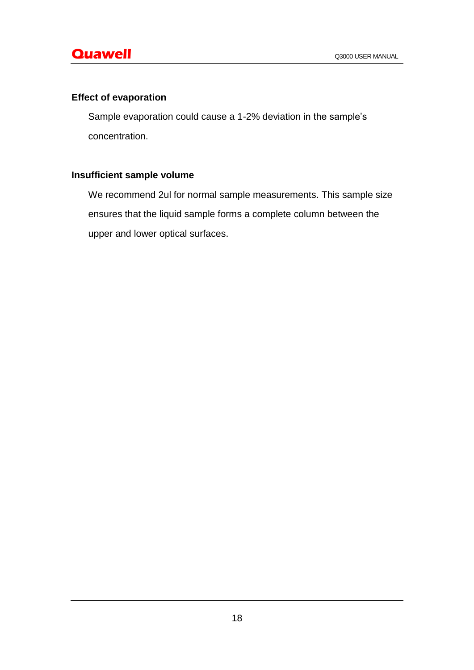# **Effect of evaporation**

Sample evaporation could cause a 1-2% deviation in the sample's concentration.

# **Insufficient sample volume**

We recommend 2ul for normal sample measurements. This sample size ensures that the liquid sample forms a complete column between the upper and lower optical surfaces.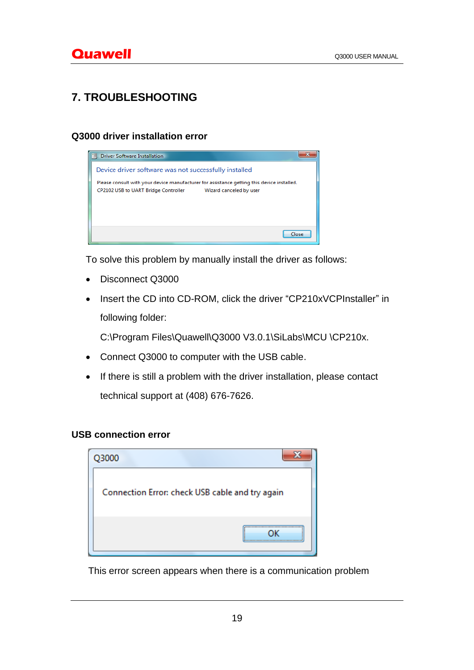# **7. TROUBLESHOOTING**

## **Q3000 driver installation error**



To solve this problem by manually install the driver as follows:

- Disconnect Q3000
- Insert the CD into CD-ROM, click the driver "CP210xVCPInstaller" in following folder:

C:\Program Files\Quawell\Q3000 V3.0.1\SiLabs\MCU \CP210x.

- Connect Q3000 to computer with the USB cable.
- If there is still a problem with the driver installation, please contact technical support at (408) 676-7626.

## **USB connection error**

| Q3000                                           |
|-------------------------------------------------|
| Connection Error: check USB cable and try again |
|                                                 |

This error screen appears when there is a communication problem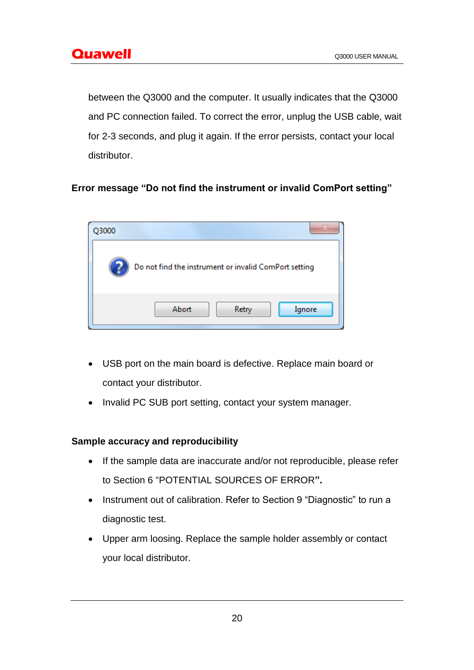between the Q3000 and the computer. It usually indicates that the Q3000 and PC connection failed. To correct the error, unplug the USB cable, wait for 2-3 seconds, and plug it again. If the error persists, contact your local distributor.

# **Error message "Do not find the instrument or invalid ComPort setting"**

| 2000 |                                                       |
|------|-------------------------------------------------------|
|      | Do not find the instrument or invalid ComPort setting |
|      | Abort<br>Retry<br>Ignore                              |

- USB port on the main board is defective. Replace main board or contact your distributor.
- Invalid PC SUB port setting, contact your system manager.

## **Sample accuracy and reproducibility**

- If the sample data are inaccurate and/or not reproducible, please refer to Section 6 "POTENTIAL SOURCES OF ERROR**".**
- Instrument out of calibration. Refer to Section 9 "Diagnostic" to run a diagnostic test.
- Upper arm loosing. Replace the sample holder assembly or contact your local distributor.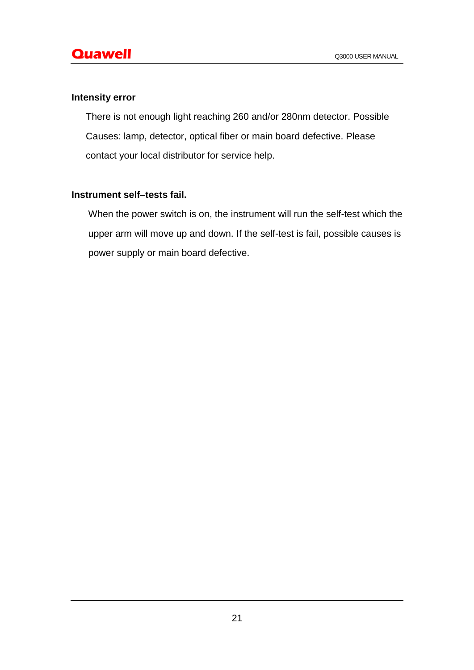#### **Intensity error**

There is not enough light reaching 260 and/or 280nm detector. Possible Causes: lamp, detector, optical fiber or main board defective. Please contact your local distributor for service help.

## **Instrument self–tests fail.**

When the power switch is on, the instrument will run the self-test which the upper arm will move up and down. If the self-test is fail, possible causes is power supply or main board defective.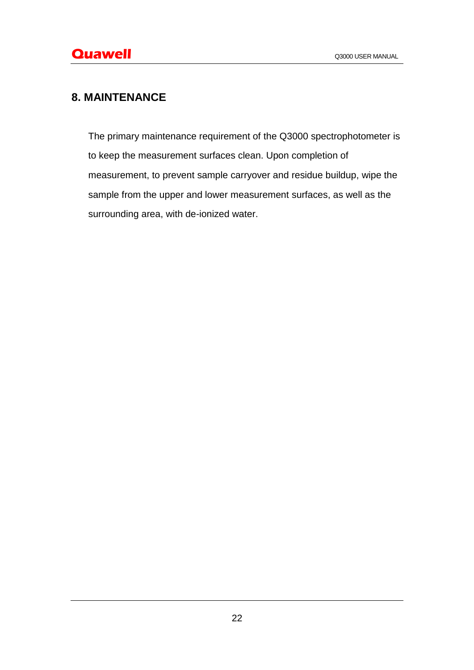# **8. MAINTENANCE**

The primary maintenance requirement of the Q3000 spectrophotometer is to keep the measurement surfaces clean. Upon completion of measurement, to prevent sample carryover and residue buildup, wipe the sample from the upper and lower measurement surfaces, as well as the surrounding area, with de-ionized water.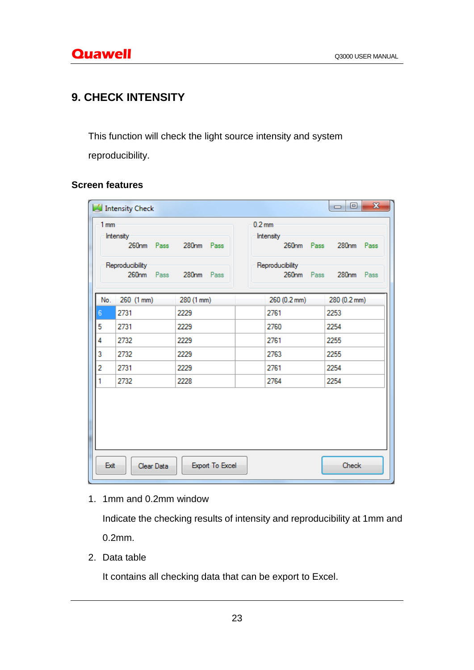# **9. CHECK INTENSITY**

This function will check the light source intensity and system

reproducibility.

## **Screen features**

| 1mm                                                                               |            |            |                                                                |                                     |  |
|-----------------------------------------------------------------------------------|------------|------------|----------------------------------------------------------------|-------------------------------------|--|
| Intensity<br>260nm Pass 280nm Pass<br>Reproducibility<br>260nm Pass<br>280nm Pass |            |            | $0.2 \text{ mm}$<br>Intensity<br>Reproducibility<br>260nm Pass | 260nm Pass 280nm Pass<br>280nm Pass |  |
| No.                                                                               | 260 (1 mm) | 280 (1 mm) | 260 (0.2 mm)                                                   | 280 (0.2 mm)                        |  |
| $6\phantom{a}$                                                                    | 2731       | 2229       | 2761                                                           | 2253                                |  |
| 5                                                                                 | 2731       | 2229       | 2760                                                           | 2254                                |  |
| 4                                                                                 | 2732       | 2229       | 2761                                                           | 2255                                |  |
| 3                                                                                 | 2732       | 2229       | 2763                                                           | 2255                                |  |
| 2                                                                                 | 2731       | 2229       | 2761                                                           | 2254                                |  |
| 1                                                                                 | 2732       | 2228       | 2764                                                           | 2254                                |  |
| Exit<br>Check<br>Export To Excel<br>Clear Data                                    |            |            |                                                                |                                     |  |

1. 1mm and 0.2mm window

Indicate the checking results of intensity and reproducibility at 1mm and 0.2mm.

2. Data table

It contains all checking data that can be export to Excel.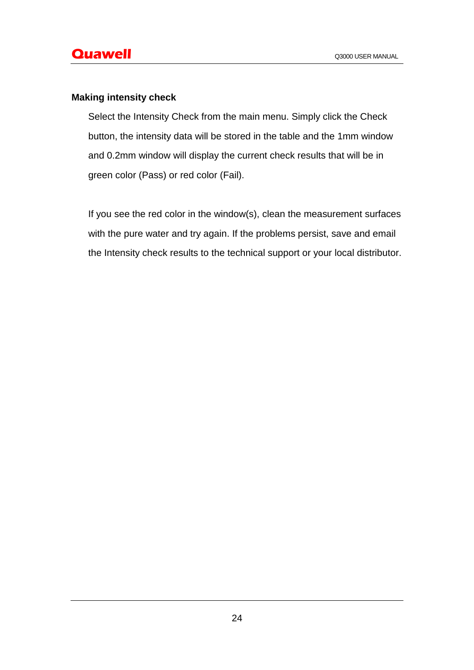## **Making intensity check**

Select the Intensity Check from the main menu. Simply click the Check button, the intensity data will be stored in the table and the 1mm window and 0.2mm window will display the current check results that will be in green color (Pass) or red color (Fail).

If you see the red color in the window(s), clean the measurement surfaces with the pure water and try again. If the problems persist, save and email the Intensity check results to the technical support or your local distributor.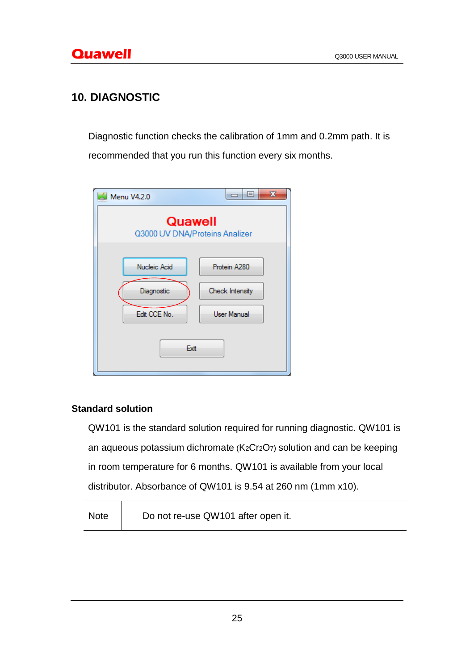# **10. DIAGNOSTIC**

Diagnostic function checks the calibration of 1mm and 0.2mm path. It is recommended that you run this function every six months.

| <b>Menu V4.2.0</b>                        | $\mathbf x$<br>回 |  |  |
|-------------------------------------------|------------------|--|--|
| Quawell<br>Q3000 UV DNA/Proteins Analizer |                  |  |  |
| Nucleic Acid                              | Protein A280     |  |  |
| Diagnostic                                | Check Intensity  |  |  |
| Edit CCE No.                              | User Manual      |  |  |
| Exit                                      |                  |  |  |

## **Standard solution**

 $\top$ 

QW101 is the standard solution required for running diagnostic. QW101 is an aqueous potassium dichromate (K2Cr2O7) solution and can be keeping in room temperature for 6 months. QW101 is available from your local distributor. Absorbance of QW101 is 9.54 at 260 nm (1mm x10).

| <b>Note</b> | Do not re-use QW101 after open it. |  |
|-------------|------------------------------------|--|
|-------------|------------------------------------|--|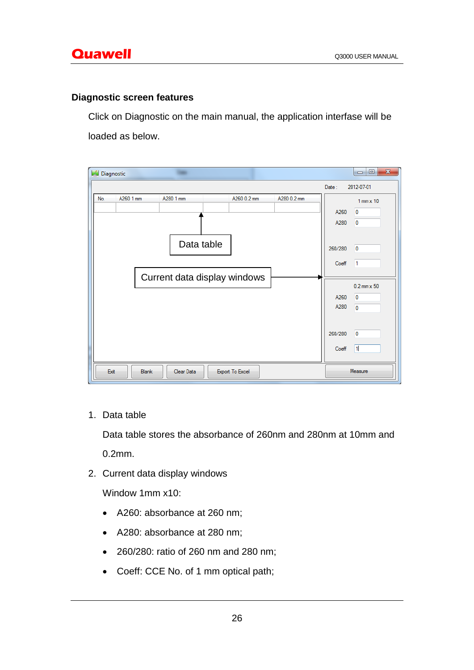#### **Diagnostic screen features**

Click on Diagnostic on the main manual, the application interfase will be loaded as below.

S Diagnostic  $\equiv$  $Date:$ 2012-07-01 A260 1 mm A280 1 mm A260 0.2 mm A280 0.2 mm No.  $1$  mm  $\times$   $10$ A260  $\overline{0}$ A280  $\overline{0}$ Data table 260/280  $\overline{0}$ Coeff  $\vert$ 1 Current data display windows $0.2$  mm  $\times 50$ A260  $\overline{\mathbf{0}}$ A280  $\overline{\mathbf{0}}$ 260/280  $\overline{0}$ Coeff  $\sqrt{1}$ Clear Data Exit Blank Export To Excel Measure

1. Data table

Data table stores the absorbance of 260nm and 280nm at 10mm and 0.2mm.

2. Current data display windows

Window 1mm x10:

- A260: absorbance at 260 nm;
- A280: absorbance at 280 nm;
- 260/280: ratio of 260 nm and 280 nm;
- Coeff: CCE No. of 1 mm optical path;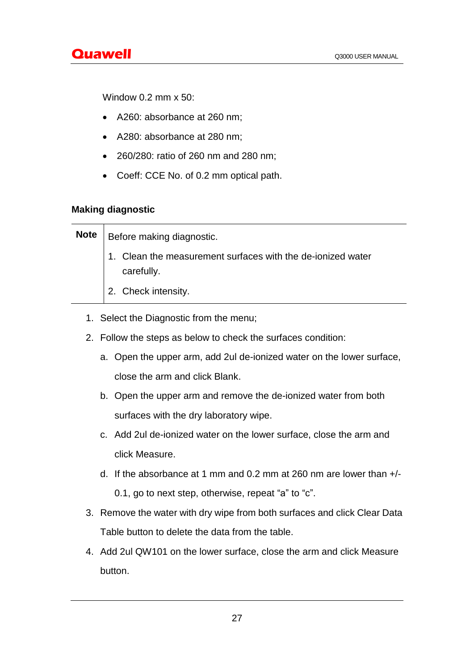Window 0.2 mm x 50:

- A260: absorbance at 260 nm;
- A280: absorbance at 280 nm;
- 260/280: ratio of 260 nm and 280 nm;
- Coeff: CCE No. of 0.2 mm optical path.

## **Making diagnostic**

| <b>Note</b> | <b>Before making diagnostic.</b>                                          |  |  |  |
|-------------|---------------------------------------------------------------------------|--|--|--|
|             | 1. Clean the measurement surfaces with the de-ionized water<br>carefully. |  |  |  |
|             | 2. Check intensity.                                                       |  |  |  |

- 1. Select the Diagnostic from the menu;
- 2. Follow the steps as below to check the surfaces condition:
	- a. Open the upper arm, add 2ul de-ionized water on the lower surface, close the arm and click Blank.
	- b. Open the upper arm and remove the de-ionized water from both surfaces with the dry laboratory wipe.
	- c. Add 2ul de-ionized water on the lower surface, close the arm and click Measure.
	- d. If the absorbance at 1 mm and 0.2 mm at 260 nm are lower than +/- 0.1, go to next step, otherwise, repeat "a" to "c".
- 3. Remove the water with dry wipe from both surfaces and click Clear Data Table button to delete the data from the table.
- 4. Add 2ul QW101 on the lower surface, close the arm and click Measure button.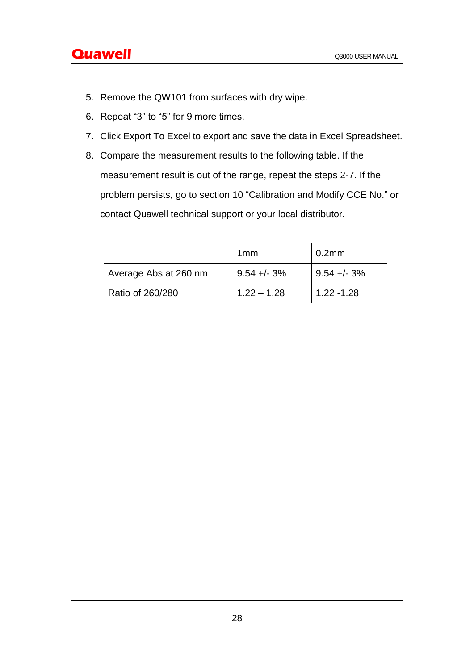- 5. Remove the QW101 from surfaces with dry wipe.
- 6. Repeat "3" to "5" for 9 more times.
- 7. Click Export To Excel to export and save the data in Excel Spreadsheet.
- 8. Compare the measurement results to the following table. If the measurement result is out of the range, repeat the steps 2-7. If the problem persists, go to section 10 "Calibration and Modify CCE No." or contact Quawell technical support or your local distributor.

|                       | 1 <sub>mm</sub> | 0.2 <sub>mm</sub> |
|-----------------------|-----------------|-------------------|
| Average Abs at 260 nm | $9.54 + - 3%$   | $9.54 + - 3%$     |
| Ratio of 260/280      | $1.22 - 1.28$   | $1.22 - 1.28$     |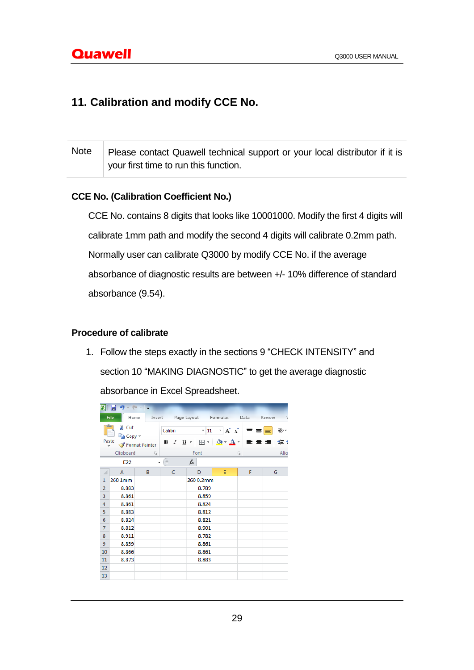# **11. Calibration and modify CCE No.**

| Note   Please contact Quawell technical support or your local distributor if it is |
|------------------------------------------------------------------------------------|
| your first time to run this function.                                              |

## **CCE No. (Calibration Coefficient No.)**

CCE No. contains 8 digits that looks like 10001000. Modify the first 4 digits will calibrate 1mm path and modify the second 4 digits will calibrate 0.2mm path. Normally user can calibrate Q3000 by modify CCE No. if the average absorbance of diagnostic results are between +/- 10% difference of standard absorbance (9.54).

## **Procedure of calibrate**

1. Follow the steps exactly in the sections 9 "CHECK INTENSITY" and section 10 "MAKING DIAGNOSTIC" to get the average diagnostic absorbance in Excel Spreadsheet.

| תו<br>$\Gamma$<br>Ы<br>$\overline{\phantom{a}}$                                         |              |   |                                                                                                                                                                                           |           |   |          |                                                   |  |
|-----------------------------------------------------------------------------------------|--------------|---|-------------------------------------------------------------------------------------------------------------------------------------------------------------------------------------------|-----------|---|----------|---------------------------------------------------|--|
|                                                                                         | File<br>Home |   | Insert Page Layout Formulas<br>Data<br>Review                                                                                                                                             |           |   |          |                                                   |  |
| & Cut<br>बि Copy *<br>Paste<br>Format Painter<br>Clipboard<br>$\overline{\mathbb{F}_2}$ |              |   | $A^{\dagger} A^{\dagger}$<br>$\overline{11}$<br>۳ļ<br>Calibri<br>EB.<br>⇘<br>$I$ U<br>в<br>$\tau^-$<br>$\overline{\phantom{a}}$<br>$\mathbf{A}$<br>$\boldsymbol{\mathrm{v}}$<br>Font<br>园 |           |   | $\equiv$ | ≫,<br>$\equiv$<br>$\equiv$<br>ま 書 理<br>€∄<br>Alig |  |
| E <sub>22</sub><br>$\overline{\phantom{a}}$                                             |              |   | $\equiv$                                                                                                                                                                                  | $f_x$     |   |          |                                                   |  |
| ⊿                                                                                       | A            | B | c                                                                                                                                                                                         | D         | E | F        | G                                                 |  |
| $\mathbf{1}$                                                                            | 260 1mm      |   |                                                                                                                                                                                           | 260 0.2mm |   |          |                                                   |  |
| $\overline{2}$                                                                          | 8.883        |   |                                                                                                                                                                                           | 8.789     |   |          |                                                   |  |
| 3                                                                                       | 8.861        |   |                                                                                                                                                                                           | 8.859     |   |          |                                                   |  |
| $\overline{4}$                                                                          | 8.861        |   |                                                                                                                                                                                           | 8.824     |   |          |                                                   |  |
| 5                                                                                       | 8.883        |   |                                                                                                                                                                                           | 8.812     |   |          |                                                   |  |
| 6                                                                                       | 8.824        |   |                                                                                                                                                                                           | 8.821     |   |          |                                                   |  |
| $\overline{7}$                                                                          | 8.812        |   |                                                                                                                                                                                           | 8.901     |   |          |                                                   |  |
| 8                                                                                       | 8.911        |   |                                                                                                                                                                                           | 8.782     |   |          |                                                   |  |
| 9                                                                                       | 8.859        |   |                                                                                                                                                                                           | 8.861     |   |          |                                                   |  |
| 10                                                                                      | 8.866        |   |                                                                                                                                                                                           | 8.861     |   |          |                                                   |  |
| 11                                                                                      | 8.873        |   |                                                                                                                                                                                           | 8.883     |   |          |                                                   |  |
| 12                                                                                      |              |   |                                                                                                                                                                                           |           |   |          |                                                   |  |
| 13                                                                                      |              |   |                                                                                                                                                                                           |           |   |          |                                                   |  |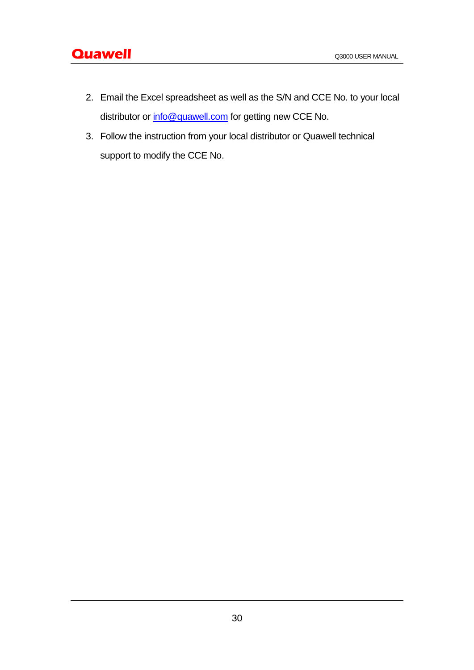- 2. Email the Excel spreadsheet as well as the S/N and CCE No. to your local distributor or [info@quawell.com](mailto:info@quawell.com) for getting new CCE No.
- 3. Follow the instruction from your local distributor or Quawell technical support to modify the CCE No.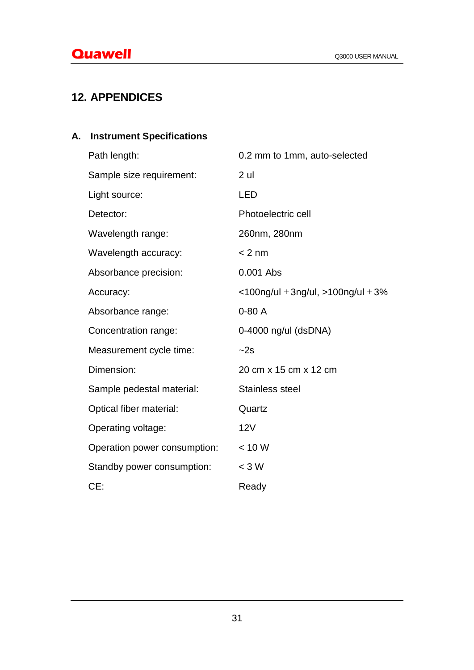# **12. APPENDICES**

# **A. Instrument Specifications**

| Path length:                 | 0.2 mm to 1mm, auto-selected               |
|------------------------------|--------------------------------------------|
| Sample size requirement:     | 2 ul                                       |
| Light source:                | <b>LED</b>                                 |
| Detector:                    | Photoelectric cell                         |
| Wavelength range:            | 260nm, 280nm                               |
| Wavelength accuracy:         | $< 2$ nm                                   |
| Absorbance precision:        | 0.001 Abs                                  |
| Accuracy:                    | <100ng/ul $\pm$ 3ng/ul, >100ng/ul $\pm$ 3% |
| Absorbance range:            | $0-80A$                                    |
| Concentration range:         | 0-4000 ng/ul (dsDNA)                       |
| Measurement cycle time:      | $-2s$                                      |
| Dimension:                   | 20 cm x 15 cm x 12 cm                      |
| Sample pedestal material:    | <b>Stainless steel</b>                     |
| Optical fiber material:      | Quartz                                     |
| Operating voltage:           | 12V                                        |
| Operation power consumption: | < 10 W                                     |
| Standby power consumption:   | $<$ 3 W                                    |
| CE:                          | Ready                                      |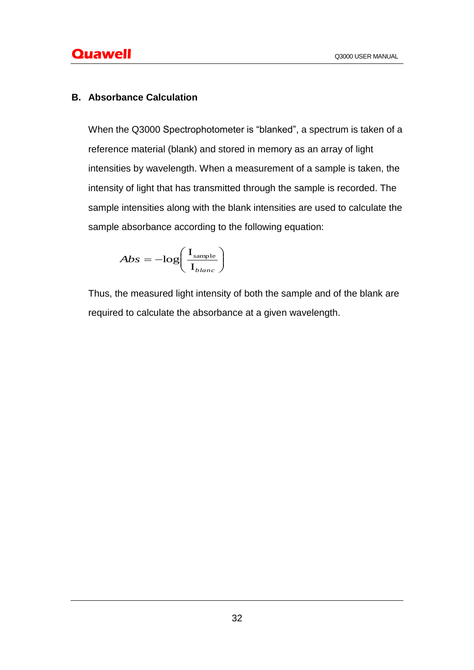## **B. Absorbance Calculation**

When the Q3000 Spectrophotometer is "blanked", a spectrum is taken of a reference material (blank) and stored in memory as an array of light intensities by wavelength. When a measurement of a sample is taken, the intensity of light that has transmitted through the sample is recorded. The sample intensities along with the blank intensities are used to calculate the sample absorbance according to the following equation:

$$
Abs = -\log\left(\frac{\mathrm{I}_{\mathrm{sample}}}{\mathrm{I}_{\mathrm{plane}}}\right)
$$

Thus, the measured light intensity of both the sample and of the blank are required to calculate the absorbance at a given wavelength.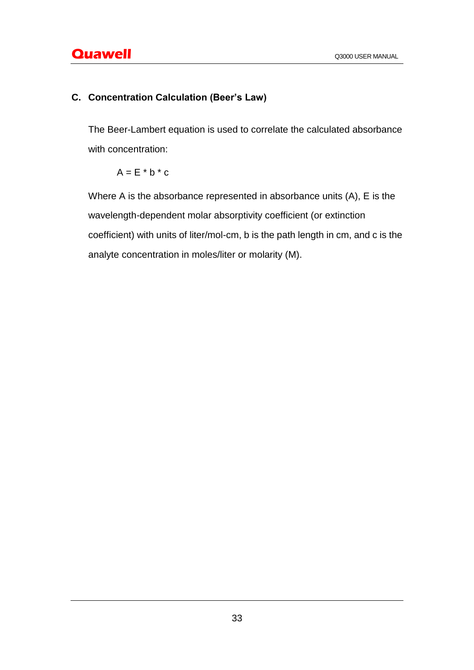# **C. Concentration Calculation (Beer's Law)**

The Beer-Lambert equation is used to correlate the calculated absorbance with concentration:

 $A = E * b * c$ 

Where A is the absorbance represented in absorbance units (A), E is the wavelength-dependent molar absorptivity coefficient (or extinction coefficient) with units of liter/mol-cm, b is the path length in cm, and c is the analyte concentration in moles/liter or molarity (M).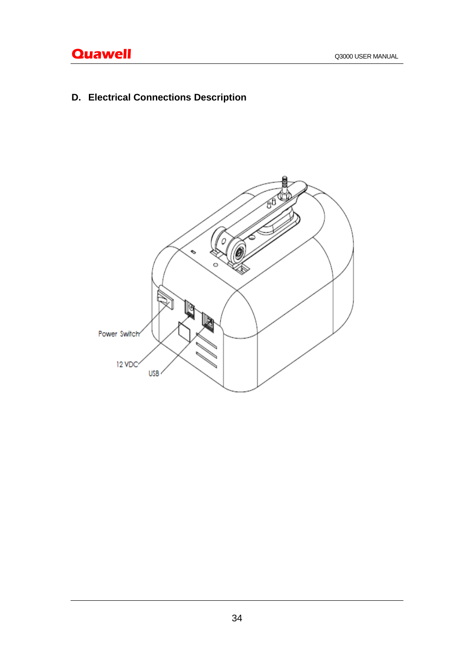# **Quawell** Q3000 USER MANUAL

**D. Electrical Connections Description**

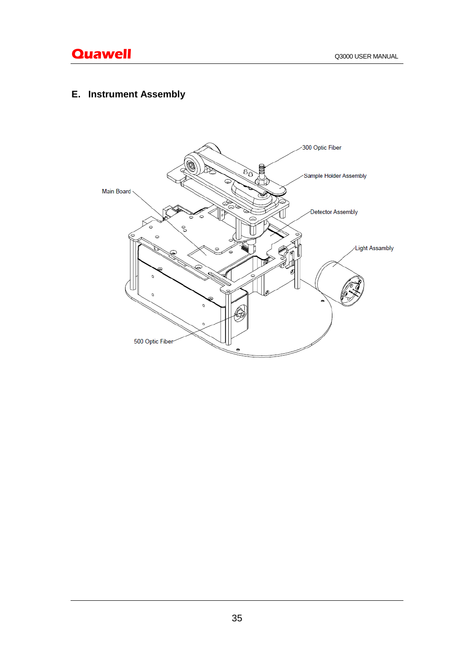# **E. Instrument Assembly**

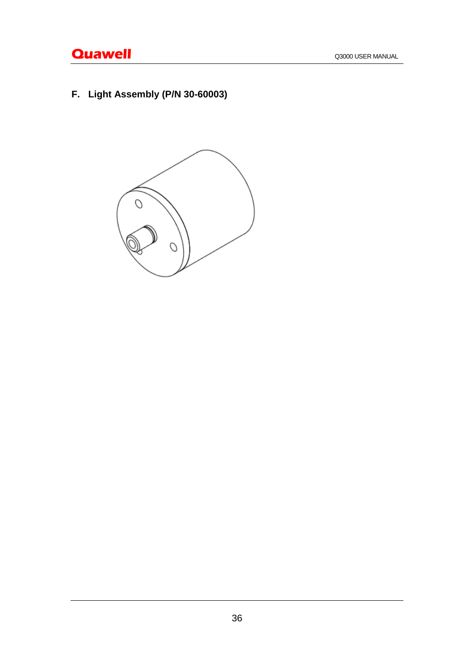# **Quawell Quawell Q3000 USER MANUAL**

**F. Light Assembly (P/N 30-60003)**

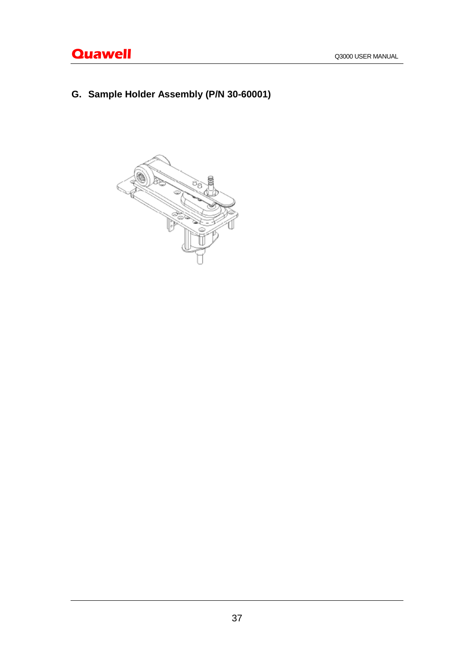**G. Sample Holder Assembly (P/N 30-60001)**

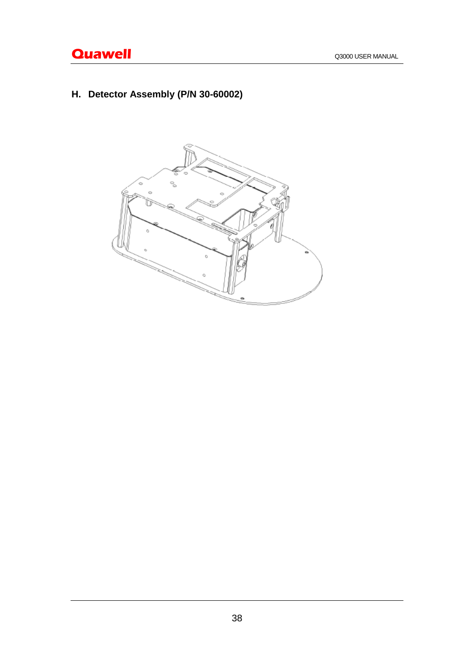**H. Detector Assembly (P/N 30-60002)**

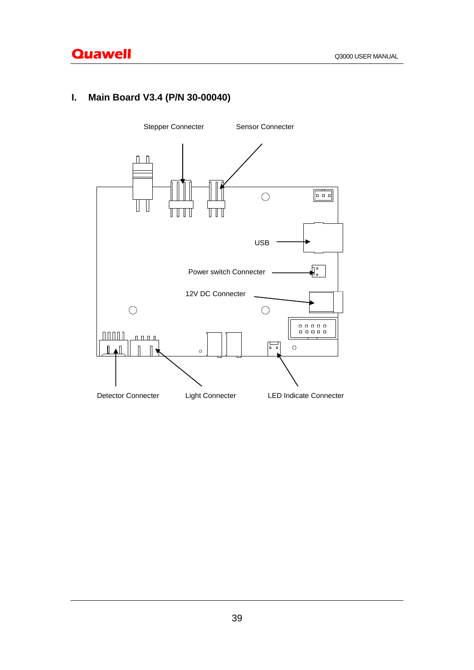# **I. Main Board V3.4 (P/N 30-00040)**